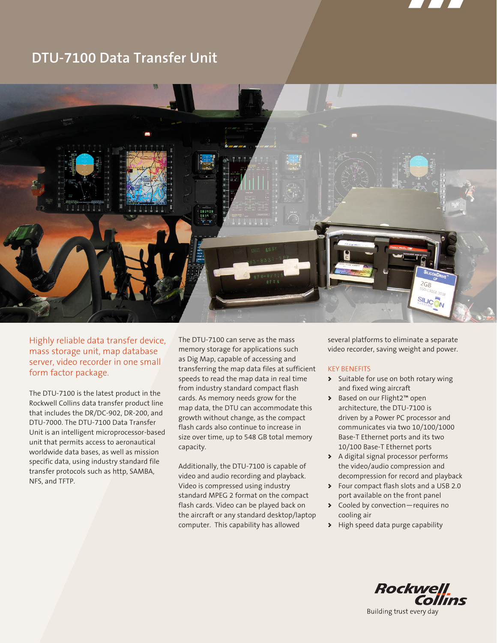

# **DTU-7100 Data Transfer Unit**



Highly reliable data transfer device, mass storage unit, map database server, video recorder in one small form factor package.

The DTU-7100 is the latest product in the Rockwell Collins data transfer product line that includes the DR/DC-902, DR-200, and DTU-7000. The DTU-7100 Data Transfer Unit is an intelligent microprocessor-based unit that permits access to aeronautical worldwide data bases, as well as mission specific data, using industry standard file transfer protocols such as http, SAMBA, NFS, and TFTP.

The DTU-7100 can serve as the mass memory storage for applications such as Dig Map, capable of accessing and transferring the map data files at sufficient speeds to read the map data in real time from industry standard compact flash cards. As memory needs grow for the map data, the DTU can accommodate this growth without change, as the compact flash cards also continue to increase in size over time, up to 548 GB total memory capacity.

Additionally, the DTU-7100 is capable of video and audio recording and playback. Video is compressed using industry standard MPEG 2 format on the compact flash cards. Video can be played back on the aircraft or any standard desktop/laptop computer. This capability has allowed

several platforms to eliminate a separate video recorder, saving weight and power.

# KEY BENEFITS

- > Suitable for use on both rotary wing and fixed wing aircraft
- > Based on our Flight2™ open architecture, the DTU-7100 is driven by a Power PC processor and communicates via two 10/100/1000 Base-T Ethernet ports and its two 10/100 Base-T Ethernet ports
- > A digital signal processor performs the video/audio compression and decompression for record and playback
- > Four compact flash slots and a USB 2.0 port available on the front panel
- > Cooled by convection—requires no cooling air
- > High speed data purge capability